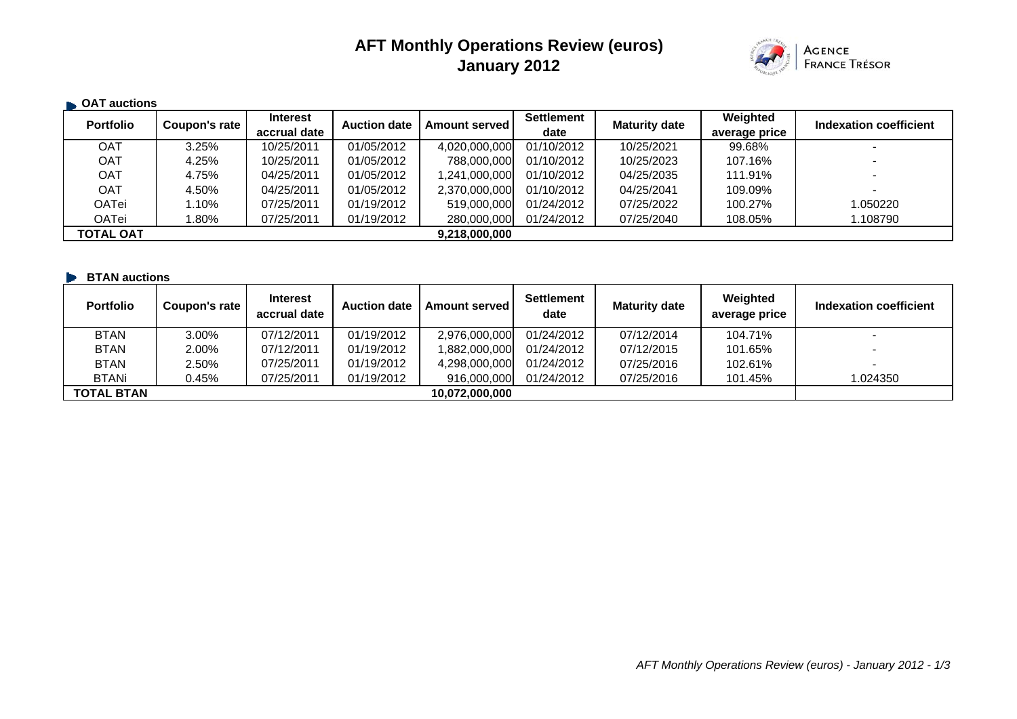## **AFT Monthly Operations Review (euros) January 2012**



| <b>CAT auctions</b> |               |                                 |                     |                      |                           |                      |                           |                          |
|---------------------|---------------|---------------------------------|---------------------|----------------------|---------------------------|----------------------|---------------------------|--------------------------|
| <b>Portfolio</b>    | Coupon's rate | <b>Interest</b><br>accrual date | <b>Auction date</b> | <b>Amount served</b> | <b>Settlement</b><br>date | <b>Maturity date</b> | Weighted<br>average price | Indexation coefficient   |
| <b>OAT</b>          | 3.25%         | 10/25/2011                      | 01/05/2012          | 4,020,000,000        | 01/10/2012                | 10/25/2021           | 99.68%                    |                          |
| <b>OAT</b>          | 4.25%         | 10/25/2011                      | 01/05/2012          | 788,000,000          | 01/10/2012                | 10/25/2023           | 107.16%                   | $\overline{\phantom{0}}$ |
| <b>OAT</b>          | 4.75%         | 04/25/2011                      | 01/05/2012          | 1,241,000,000        | 01/10/2012                | 04/25/2035           | 111.91%                   |                          |
| <b>OAT</b>          | 4.50%         | 04/25/2011                      | 01/05/2012          | 2,370,000,000        | 01/10/2012                | 04/25/2041           | 109.09%                   | $\,$                     |
| OATei               | $.10\%$       | 07/25/2011                      | 01/19/2012          | 519,000,000          | 01/24/2012                | 07/25/2022           | 100.27%                   | 1.050220                 |
| OATei               | .80%          | 07/25/2011                      | 01/19/2012          | 280,000,000          | 01/24/2012                | 07/25/2040           | 108.05%                   | 1.108790                 |
| <b>TOTAL OAT</b>    |               |                                 |                     | 9,218,000,000        |                           |                      |                           |                          |

| <b>BTAN auctions</b> |               |                                 |                     |                      |                           |                      |                           |                          |
|----------------------|---------------|---------------------------------|---------------------|----------------------|---------------------------|----------------------|---------------------------|--------------------------|
| <b>Portfolio</b>     | Coupon's rate | <b>Interest</b><br>accrual date | <b>Auction date</b> | <b>Amount served</b> | <b>Settlement</b><br>date | <b>Maturity date</b> | Weighted<br>average price | Indexation coefficient   |
| <b>BTAN</b>          | 3.00%         | 07/12/2011                      | 01/19/2012          | 2,976,000,000        | 01/24/2012                | 07/12/2014           | 104.71%                   |                          |
| <b>BTAN</b>          | 2.00%         | 07/12/2011                      | 01/19/2012          | 1.882.000.000        | 01/24/2012                | 07/12/2015           | 101.65%                   |                          |
| <b>BTAN</b>          | 2.50%         | 07/25/2011                      | 01/19/2012          | 4,298,000,000        | 01/24/2012                | 07/25/2016           | 102.61%                   | $\overline{\phantom{0}}$ |
| <b>BTANi</b>         | J.45%         | 07/25/2011                      | 01/19/2012          | 916,000,000          | 01/24/2012                | 07/25/2016           | 101.45%                   | 1.024350                 |
| <b>TOTAL BTAN</b>    |               |                                 |                     | 10.072.000.000       |                           |                      |                           |                          |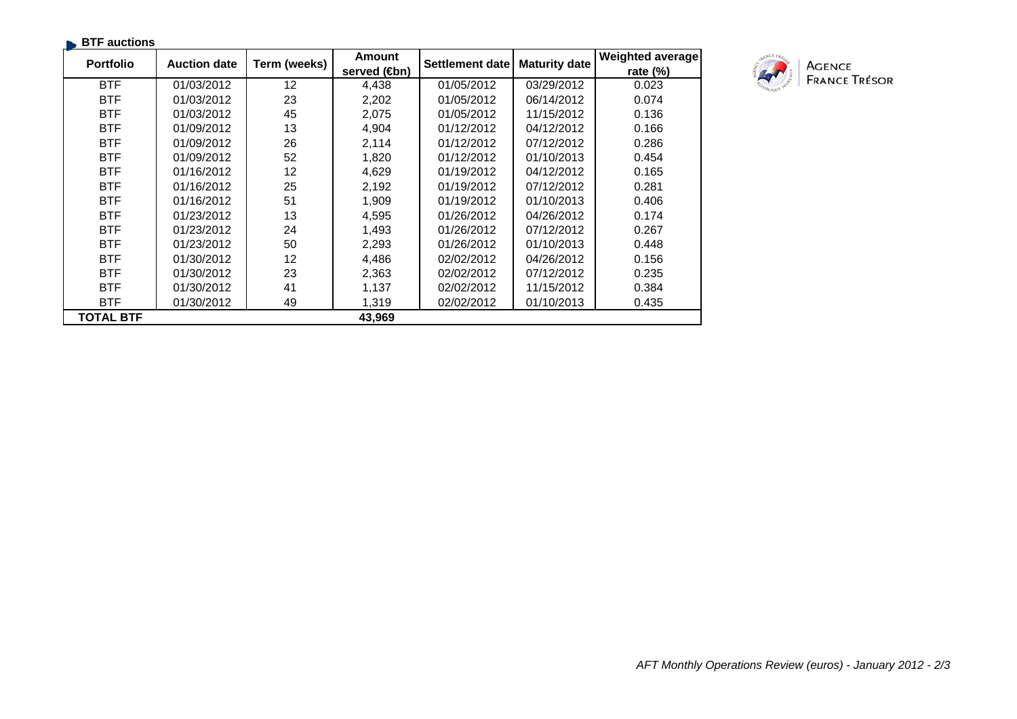| <b>BTF</b> auctions |                     |              |                      |                 |                      |                         |
|---------------------|---------------------|--------------|----------------------|-----------------|----------------------|-------------------------|
| <b>Portfolio</b>    | <b>Auction date</b> | Term (weeks) | <b>Amount</b>        | Settlement date | <b>Maturity date</b> | <b>Weighted average</b> |
|                     |                     |              | served ( <b>⊕</b> n) |                 |                      | rate (%)                |
| <b>BTF</b>          | 01/03/2012          | 12           | 4,438                | 01/05/2012      | 03/29/2012           | 0.023                   |
| <b>BTF</b>          | 01/03/2012          | 23           | 2,202                | 01/05/2012      | 06/14/2012           | 0.074                   |
| <b>BTF</b>          | 01/03/2012          | 45           | 2,075                | 01/05/2012      | 11/15/2012           | 0.136                   |
| <b>BTF</b>          | 01/09/2012          | 13           | 4,904                | 01/12/2012      | 04/12/2012           | 0.166                   |
| <b>BTF</b>          | 01/09/2012          | 26           | 2,114                | 01/12/2012      | 07/12/2012           | 0.286                   |
| <b>BTF</b>          | 01/09/2012          | 52           | 1,820                | 01/12/2012      | 01/10/2013           | 0.454                   |
| <b>BTF</b>          | 01/16/2012          | 12           | 4,629                | 01/19/2012      | 04/12/2012           | 0.165                   |
| <b>BTF</b>          | 01/16/2012          | 25           | 2,192                | 01/19/2012      | 07/12/2012           | 0.281                   |
| <b>BTF</b>          | 01/16/2012          | 51           | 1,909                | 01/19/2012      | 01/10/2013           | 0.406                   |
| <b>BTF</b>          | 01/23/2012          | 13           | 4,595                | 01/26/2012      | 04/26/2012           | 0.174                   |
| <b>BTF</b>          | 01/23/2012          | 24           | 1,493                | 01/26/2012      | 07/12/2012           | 0.267                   |
| <b>BTF</b>          | 01/23/2012          | 50           | 2,293                | 01/26/2012      | 01/10/2013           | 0.448                   |
| <b>BTF</b>          | 01/30/2012          | 12           | 4,486                | 02/02/2012      | 04/26/2012           | 0.156                   |
| <b>BTF</b>          | 01/30/2012          | 23           | 2,363                | 02/02/2012      | 07/12/2012           | 0.235                   |
| <b>BTF</b>          | 01/30/2012          | 41           | 1,137                | 02/02/2012      | 11/15/2012           | 0.384                   |
| <b>BTF</b>          | 01/30/2012          | 49           | 1,319                | 02/02/2012      | 01/10/2013           | 0.435                   |
| <b>TOTAL BTF</b>    |                     |              | 43,969               |                 |                      |                         |